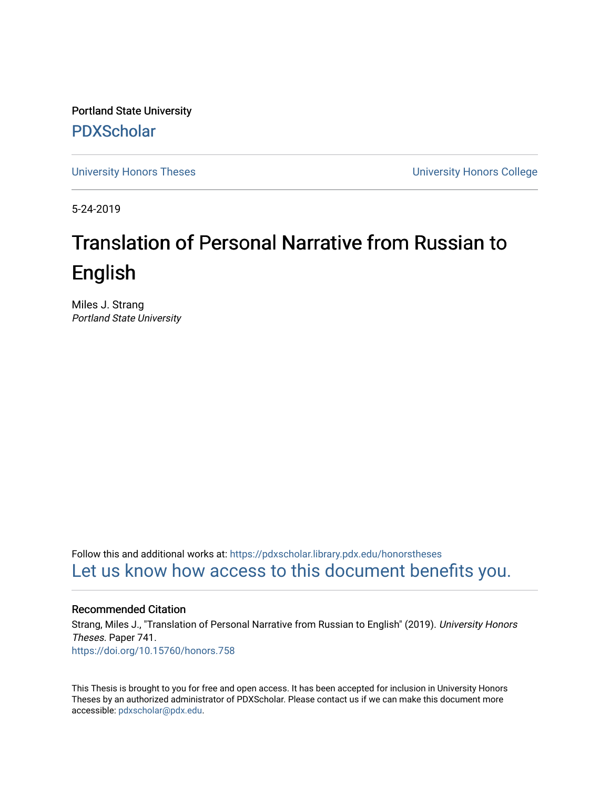Portland State University [PDXScholar](https://pdxscholar.library.pdx.edu/)

[University Honors Theses](https://pdxscholar.library.pdx.edu/honorstheses) [University Honors College](https://pdxscholar.library.pdx.edu/honors) 

5-24-2019

# Translation of Personal Narrative from Russian to English

Miles J. Strang Portland State University

Follow this and additional works at: [https://pdxscholar.library.pdx.edu/honorstheses](https://pdxscholar.library.pdx.edu/honorstheses?utm_source=pdxscholar.library.pdx.edu%2Fhonorstheses%2F741&utm_medium=PDF&utm_campaign=PDFCoverPages)  [Let us know how access to this document benefits you.](http://library.pdx.edu/services/pdxscholar-services/pdxscholar-feedback/) 

## Recommended Citation

Strang, Miles J., "Translation of Personal Narrative from Russian to English" (2019). University Honors Theses. Paper 741. <https://doi.org/10.15760/honors.758>

This Thesis is brought to you for free and open access. It has been accepted for inclusion in University Honors Theses by an authorized administrator of PDXScholar. Please contact us if we can make this document more accessible: [pdxscholar@pdx.edu.](mailto:pdxscholar@pdx.edu)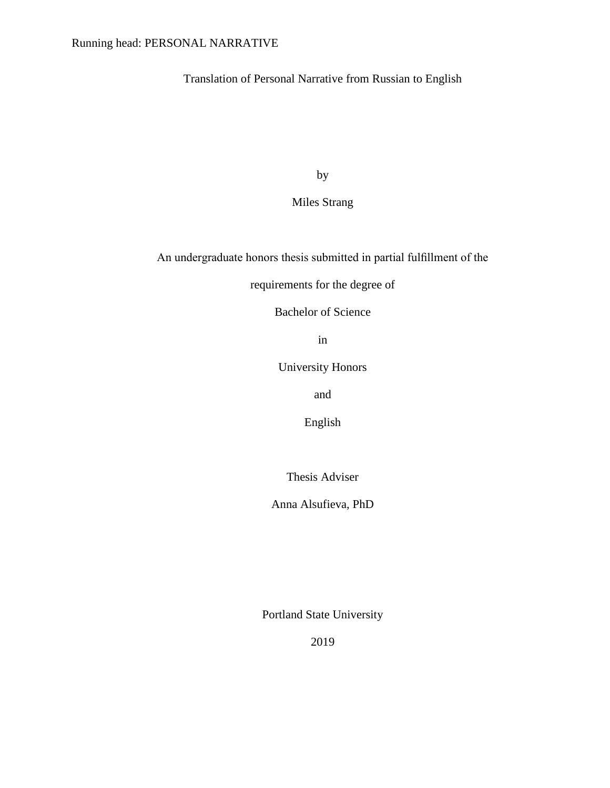Translation of Personal Narrative from Russian to English

by

Miles Strang

An undergraduate honors thesis submitted in partial fulfillment of the

requirements for the degree of

Bachelor of Science

in

University Honors

and

English

Thesis Adviser

Anna Alsufieva, PhD

Portland State University

2019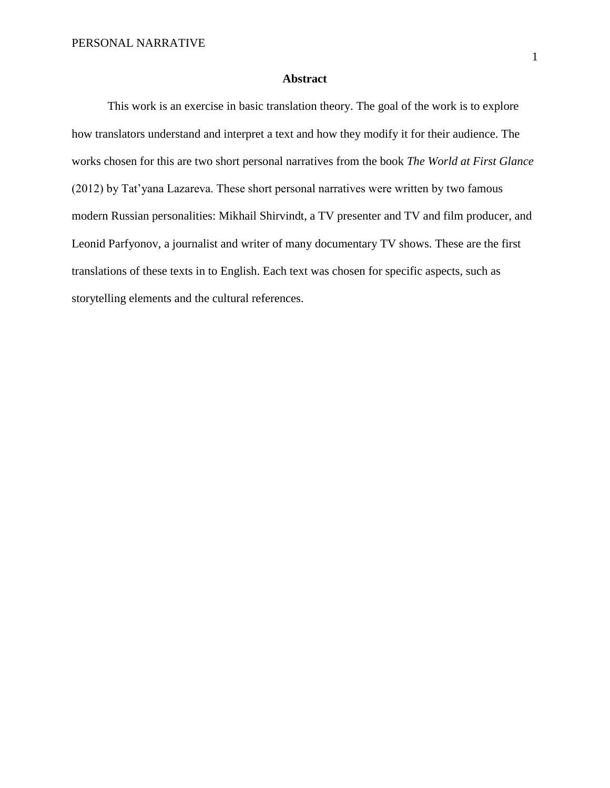# **Abstract**

This work is an exercise in basic translation theory. The goal of the work is to explore how translators understand and interpret a text and how they modify it for their audience. The works chosen for this are two short personal narratives from the book *The World at First Glance*  (2012) by Tat'yana Lazareva. These short personal narratives were written by two famous modern Russian personalities: Mikhail Shirvindt, a TV presenter and TV and film producer, and Leonid Parfyonov, a journalist and writer of many documentary TV shows. These are the first translations of these texts in to English. Each text was chosen for specific aspects, such as storytelling elements and the cultural references.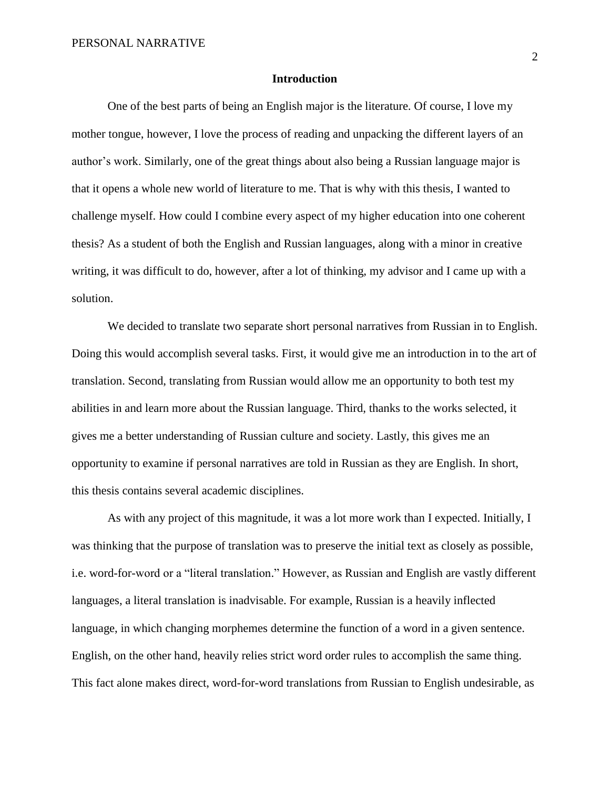#### **Introduction**

One of the best parts of being an English major is the literature. Of course, I love my mother tongue, however, I love the process of reading and unpacking the different layers of an author's work. Similarly, one of the great things about also being a Russian language major is that it opens a whole new world of literature to me. That is why with this thesis, I wanted to challenge myself. How could I combine every aspect of my higher education into one coherent thesis? As a student of both the English and Russian languages, along with a minor in creative writing, it was difficult to do, however, after a lot of thinking, my advisor and I came up with a solution.

We decided to translate two separate short personal narratives from Russian in to English. Doing this would accomplish several tasks. First, it would give me an introduction in to the art of translation. Second, translating from Russian would allow me an opportunity to both test my abilities in and learn more about the Russian language. Third, thanks to the works selected, it gives me a better understanding of Russian culture and society. Lastly, this gives me an opportunity to examine if personal narratives are told in Russian as they are English. In short, this thesis contains several academic disciplines.

As with any project of this magnitude, it was a lot more work than I expected. Initially, I was thinking that the purpose of translation was to preserve the initial text as closely as possible, i.e. word-for-word or a "literal translation." However, as Russian and English are vastly different languages, a literal translation is inadvisable. For example, Russian is a heavily inflected language, in which changing morphemes determine the function of a word in a given sentence. English, on the other hand, heavily relies strict word order rules to accomplish the same thing. This fact alone makes direct, word-for-word translations from Russian to English undesirable, as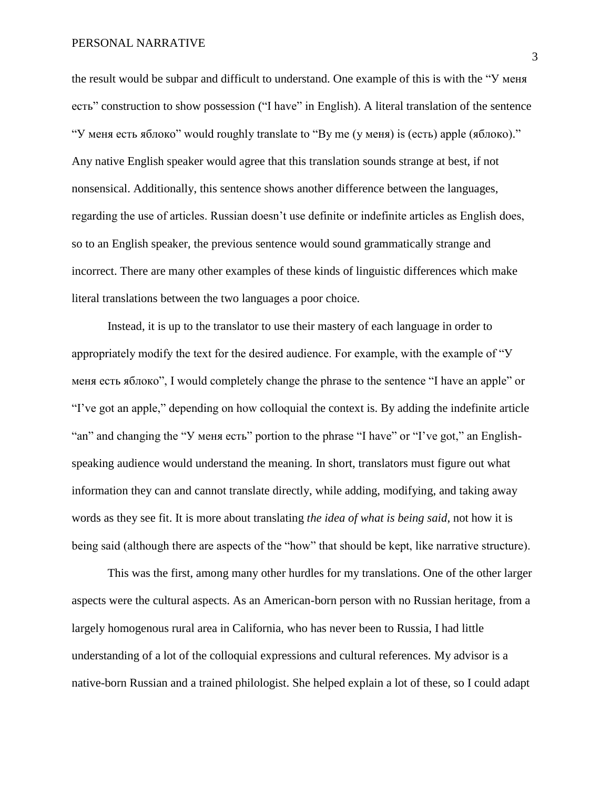the result would be subpar and difficult to understand. One example of this is with the "У меня есть" construction to show possession ("I have" in English). A literal translation of the sentence "У меня есть яблоко" would roughly translate to "By me (у меня) is (есть) apple (яблоко)." Any native English speaker would agree that this translation sounds strange at best, if not nonsensical. Additionally, this sentence shows another difference between the languages, regarding the use of articles. Russian doesn't use definite or indefinite articles as English does, so to an English speaker, the previous sentence would sound grammatically strange and incorrect. There are many other examples of these kinds of linguistic differences which make literal translations between the two languages a poor choice.

Instead, it is up to the translator to use their mastery of each language in order to appropriately modify the text for the desired audience. For example, with the example of "У меня есть яблоко", I would completely change the phrase to the sentence "I have an apple" or "I've got an apple," depending on how colloquial the context is. By adding the indefinite article "an" and changing the "У меня есть" portion to the phrase "I have" or "I've got," an Englishspeaking audience would understand the meaning. In short, translators must figure out what information they can and cannot translate directly, while adding, modifying, and taking away words as they see fit. It is more about translating *the idea of what is being said*, not how it is being said (although there are aspects of the "how" that should be kept, like narrative structure).

This was the first, among many other hurdles for my translations. One of the other larger aspects were the cultural aspects. As an American-born person with no Russian heritage, from a largely homogenous rural area in California, who has never been to Russia, I had little understanding of a lot of the colloquial expressions and cultural references. My advisor is a native-born Russian and a trained philologist. She helped explain a lot of these, so I could adapt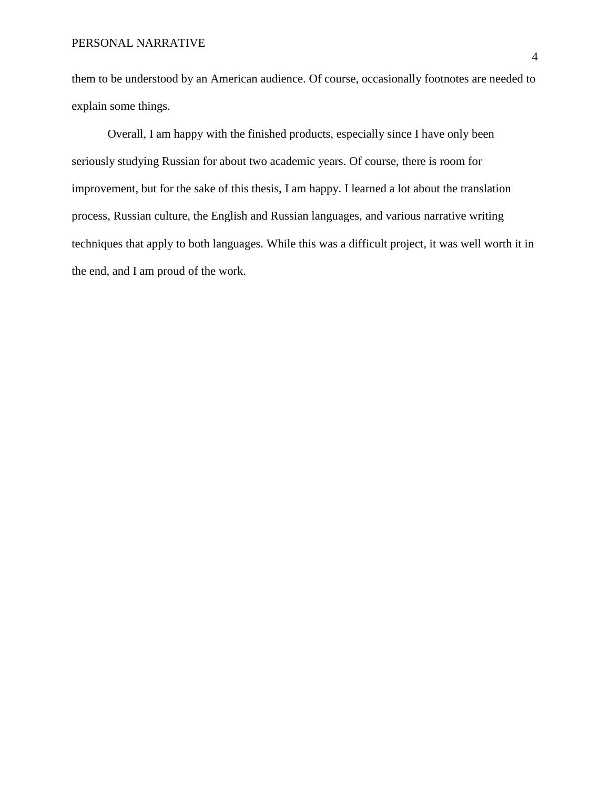them to be understood by an American audience. Of course, occasionally footnotes are needed to explain some things.

Overall, I am happy with the finished products, especially since I have only been seriously studying Russian for about two academic years. Of course, there is room for improvement, but for the sake of this thesis, I am happy. I learned a lot about the translation process, Russian culture, the English and Russian languages, and various narrative writing techniques that apply to both languages. While this was a difficult project, it was well worth it in the end, and I am proud of the work.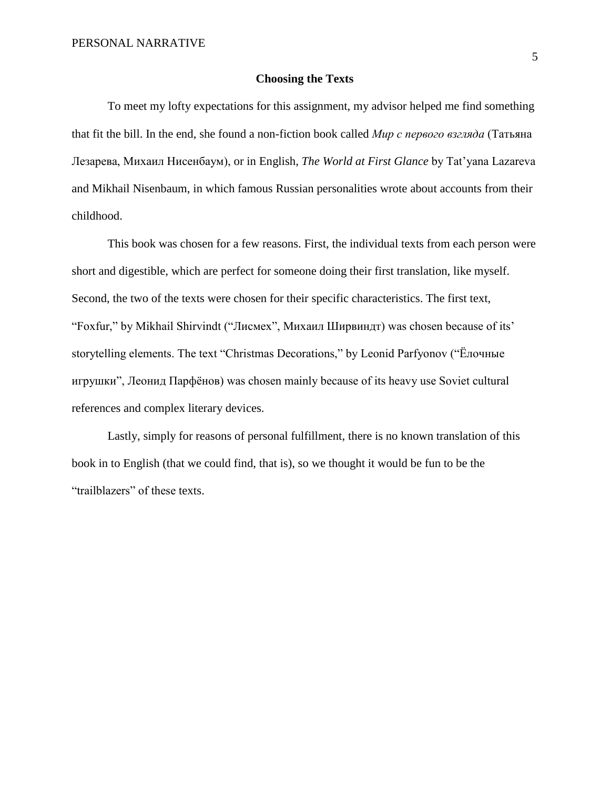### **Choosing the Texts**

To meet my lofty expectations for this assignment, my advisor helped me find something that fit the bill. In the end, she found a non-fiction book called *Мир с первого взгляда* (Татьяна Лезарева, Михаил Нисенбаум), or in English, *The World at First Glance* by Tat'yana Lazareva and Mikhail Nisenbaum, in which famous Russian personalities wrote about accounts from their childhood.

This book was chosen for a few reasons. First, the individual texts from each person were short and digestible, which are perfect for someone doing their first translation, like myself. Second, the two of the texts were chosen for their specific characteristics. The first text, "Foxfur," by Mikhail Shirvindt ("Лисмех", Михаил Ширвиндт) was chosen because of its' storytelling elements. The text "Christmas Decorations," by Leonid Parfyonov ("Ёлочные игрушки", Леонид Парфёнов) was chosen mainly because of its heavy use Soviet cultural references and complex literary devices.

Lastly, simply for reasons of personal fulfillment, there is no known translation of this book in to English (that we could find, that is), so we thought it would be fun to be the "trailblazers" of these texts.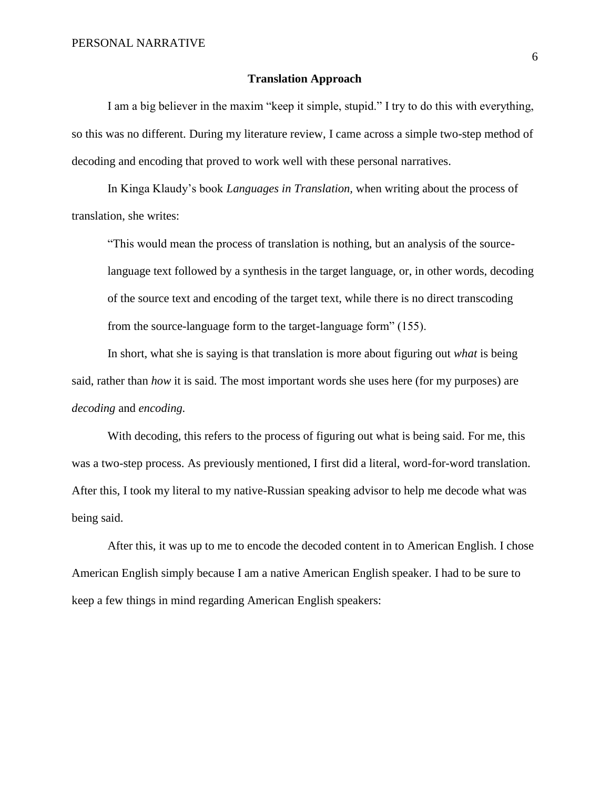## **Translation Approach**

I am a big believer in the maxim "keep it simple, stupid." I try to do this with everything, so this was no different. During my literature review, I came across a simple two-step method of decoding and encoding that proved to work well with these personal narratives.

In Kinga Klaudy's book *Languages in Translation,* when writing about the process of translation, she writes:

"This would mean the process of translation is nothing, but an analysis of the sourcelanguage text followed by a synthesis in the target language, or, in other words, decoding of the source text and encoding of the target text, while there is no direct transcoding from the source-language form to the target-language form" (155).

In short, what she is saying is that translation is more about figuring out *what* is being said, rather than *how* it is said. The most important words she uses here (for my purposes) are *decoding* and *encoding.*

With decoding, this refers to the process of figuring out what is being said. For me, this was a two-step process. As previously mentioned, I first did a literal, word-for-word translation. After this, I took my literal to my native-Russian speaking advisor to help me decode what was being said.

After this, it was up to me to encode the decoded content in to American English. I chose American English simply because I am a native American English speaker. I had to be sure to keep a few things in mind regarding American English speakers: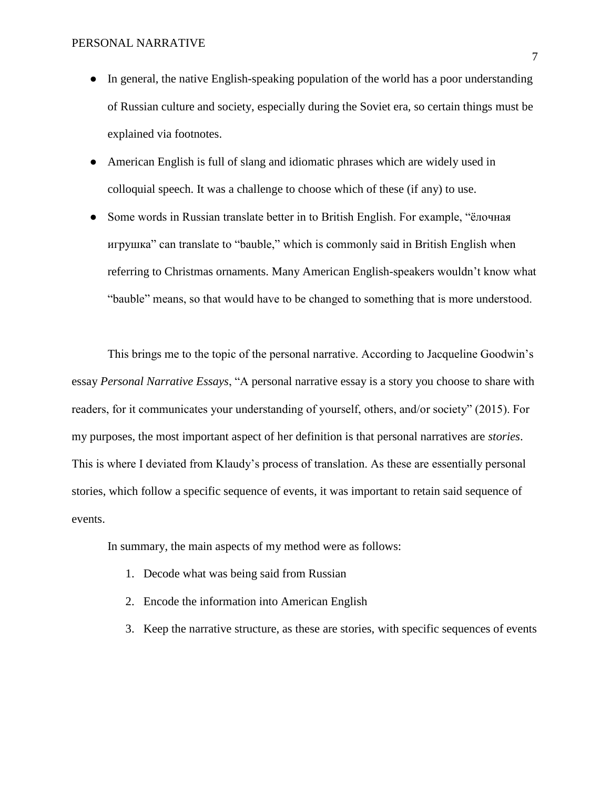- In general, the native English-speaking population of the world has a poor understanding of Russian culture and society, especially during the Soviet era, so certain things must be explained via footnotes.
- American English is full of slang and idiomatic phrases which are widely used in colloquial speech. It was a challenge to choose which of these (if any) to use.
- Some words in Russian translate better in to British English. For example, "ёлочная игрушка" can translate to "bauble," which is commonly said in British English when referring to Christmas ornaments. Many American English-speakers wouldn't know what "bauble" means, so that would have to be changed to something that is more understood.

This brings me to the topic of the personal narrative. According to Jacqueline Goodwin's essay *Personal Narrative Essays*, "A personal narrative essay is a story you choose to share with readers, for it communicates your understanding of yourself, others, and/or society" (2015). For my purposes, the most important aspect of her definition is that personal narratives are *stories*. This is where I deviated from Klaudy's process of translation. As these are essentially personal stories, which follow a specific sequence of events, it was important to retain said sequence of events.

In summary, the main aspects of my method were as follows:

- 1. Decode what was being said from Russian
- 2. Encode the information into American English
- 3. Keep the narrative structure, as these are stories, with specific sequences of events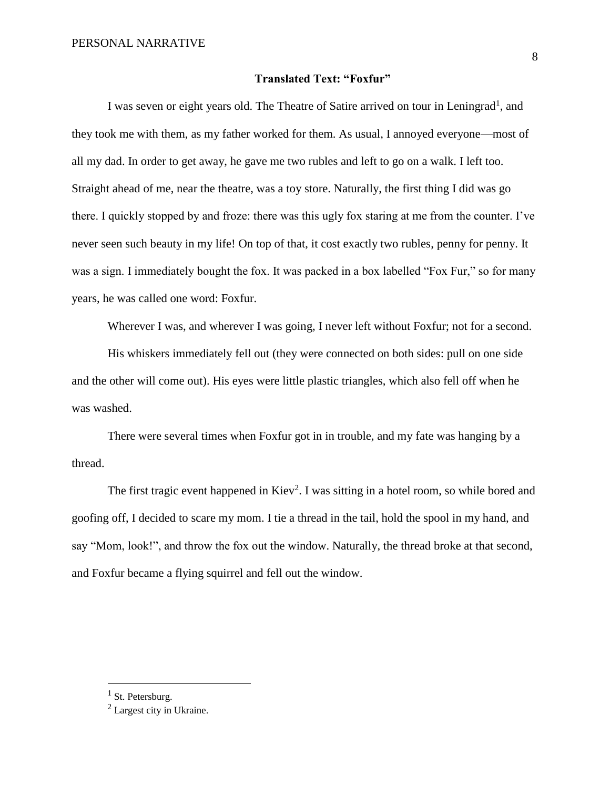## **Translated Text: "Foxfur"**

I was seven or eight years old. The Theatre of Satire arrived on tour in Leningrad<sup>1</sup>, and they took me with them, as my father worked for them. As usual, I annoyed everyone—most of all my dad. In order to get away, he gave me two rubles and left to go on a walk. I left too. Straight ahead of me, near the theatre, was a toy store. Naturally, the first thing I did was go there. I quickly stopped by and froze: there was this ugly fox staring at me from the counter. I've never seen such beauty in my life! On top of that, it cost exactly two rubles, penny for penny. It was a sign. I immediately bought the fox. It was packed in a box labelled "Fox Fur," so for many years, he was called one word: Foxfur.

Wherever I was, and wherever I was going, I never left without Foxfur; not for a second.

His whiskers immediately fell out (they were connected on both sides: pull on one side and the other will come out). His eyes were little plastic triangles, which also fell off when he was washed.

There were several times when Foxfur got in in trouble, and my fate was hanging by a thread.

The first tragic event happened in Kiev<sup>2</sup>. I was sitting in a hotel room, so while bored and goofing off, I decided to scare my mom. I tie a thread in the tail, hold the spool in my hand, and say "Mom, look!", and throw the fox out the window. Naturally, the thread broke at that second, and Foxfur became a flying squirrel and fell out the window.

<sup>&</sup>lt;sup>1</sup> St. Petersburg.

<sup>&</sup>lt;sup>2</sup> Largest city in Ukraine.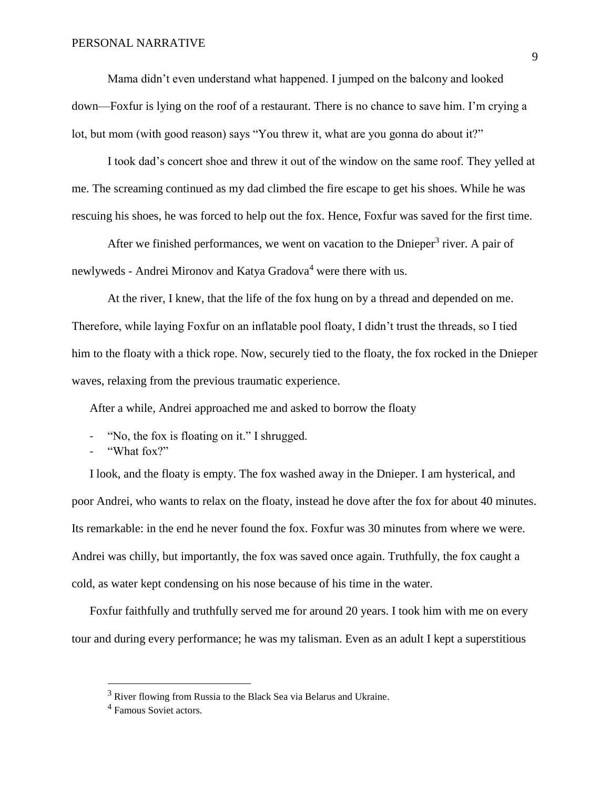Mama didn't even understand what happened. I jumped on the balcony and looked down—Foxfur is lying on the roof of a restaurant. There is no chance to save him. I'm crying a lot, but mom (with good reason) says "You threw it, what are you gonna do about it?"

I took dad's concert shoe and threw it out of the window on the same roof. They yelled at me. The screaming continued as my dad climbed the fire escape to get his shoes. While he was rescuing his shoes, he was forced to help out the fox. Hence, Foxfur was saved for the first time.

After we finished performances, we went on vacation to the Dnieper<sup>3</sup> river. A pair of newlyweds - Andrei Mironov and Katya Gradova<sup>4</sup> were there with us.

At the river, I knew, that the life of the fox hung on by a thread and depended on me. Therefore, while laying Foxfur on an inflatable pool floaty, I didn't trust the threads, so I tied him to the floaty with a thick rope. Now, securely tied to the floaty, the fox rocked in the Dnieper waves, relaxing from the previous traumatic experience.

After a while, Andrei approached me and asked to borrow the floaty

- "No, the fox is floating on it." I shrugged.
- "What fox?"

I look, and the floaty is empty. The fox washed away in the Dnieper. I am hysterical, and poor Andrei, who wants to relax on the floaty, instead he dove after the fox for about 40 minutes. Its remarkable: in the end he never found the fox. Foxfur was 30 minutes from where we were. Andrei was chilly, but importantly, the fox was saved once again. Truthfully, the fox caught a cold, as water kept condensing on his nose because of his time in the water.

Foxfur faithfully and truthfully served me for around 20 years. I took him with me on every tour and during every performance; he was my talisman. Even as an adult I kept a superstitious

 $3$  River flowing from Russia to the Black Sea via Belarus and Ukraine.

<sup>4</sup> Famous Soviet actors.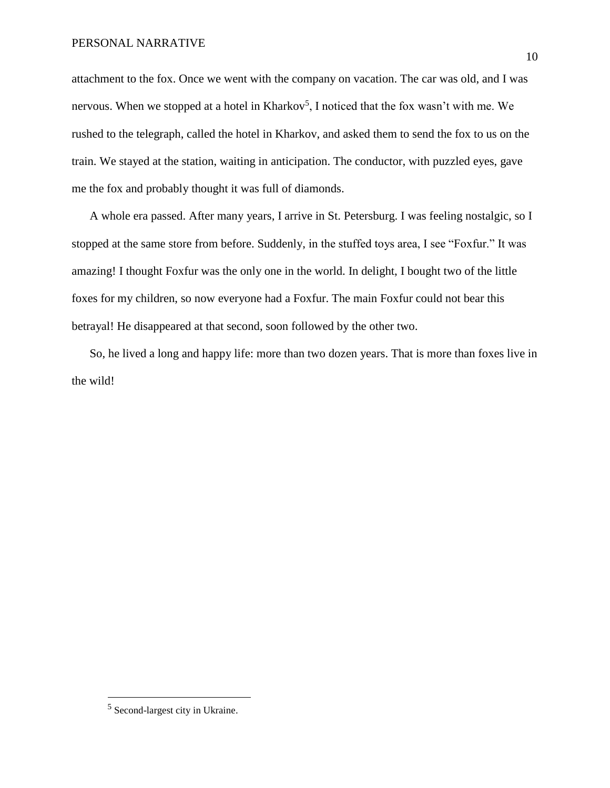attachment to the fox. Once we went with the company on vacation. The car was old, and I was nervous. When we stopped at a hotel in Kharkov<sup>5</sup>, I noticed that the fox wasn't with me. We rushed to the telegraph, called the hotel in Kharkov, and asked them to send the fox to us on the train. We stayed at the station, waiting in anticipation. The conductor, with puzzled eyes, gave me the fox and probably thought it was full of diamonds.

A whole era passed. After many years, I arrive in St. Petersburg. I was feeling nostalgic, so I stopped at the same store from before. Suddenly, in the stuffed toys area, I see "Foxfur." It was amazing! I thought Foxfur was the only one in the world. In delight, I bought two of the little foxes for my children, so now everyone had a Foxfur. The main Foxfur could not bear this betrayal! He disappeared at that second, soon followed by the other two.

So, he lived a long and happy life: more than two dozen years. That is more than foxes live in the wild!

<sup>&</sup>lt;sup>5</sup> Second-largest city in Ukraine.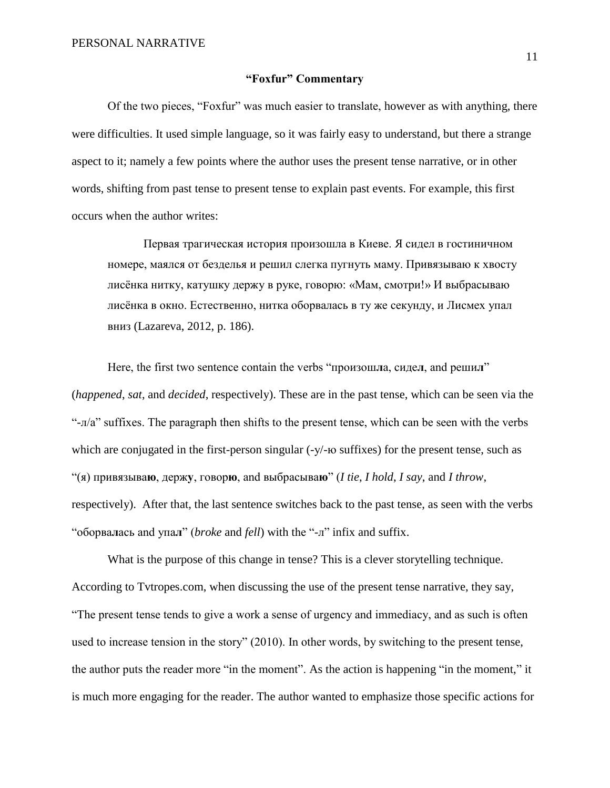## **"Foxfur" Commentary**

Of the two pieces, "Foxfur" was much easier to translate, however as with anything, there were difficulties. It used simple language, so it was fairly easy to understand, but there a strange aspect to it; namely a few points where the author uses the present tense narrative, or in other words, shifting from past tense to present tense to explain past events. For example, this first occurs when the author writes:

Первая трагическая история произошла в Киеве. Я сидел в гостиничном номере, маялся от безделья и решил слегка пугнуть маму. Привязываю к хвосту лисёнка нитку, катушку держу в руке, говорю: «Мам, смотри!» И выбрасываю лисёнка в окно. Естественно, нитка оборвалась в ту же секунду, и Лисмех упал вниз (Lazareva, 2012, p. 186).

Here, the first two sentence contain the verbs "произош**л**а, сиде**л**, and реши**л**" (*happened*, *sat*, and *decided*, respectively). These are in the past tense, which can be seen via the " $-\pi/a$ " suffixes. The paragraph then shifts to the present tense, which can be seen with the verbs which are conjugated in the first-person singular (-y/- $\mu$  suffixes) for the present tense, such as "(я) привязыва**ю**, держ**у**, говор**ю**, and выбрасыва**ю**" (*I tie*, *I hold*, *I say*, and *I throw*, respectively). After that, the last sentence switches back to the past tense, as seen with the verbs "оборва**л**ась and упа**л**" (*broke* and *fell*) with the "-л" infix and suffix.

What is the purpose of this change in tense? This is a clever storytelling technique. According to Tvtropes.com, when discussing the use of the present tense narrative, they say, "The present tense tends to give a work a sense of urgency and immediacy, and as such is often used to increase tension in the story" (2010). In other words, by switching to the present tense, the author puts the reader more "in the moment". As the action is happening "in the moment," it is much more engaging for the reader. The author wanted to emphasize those specific actions for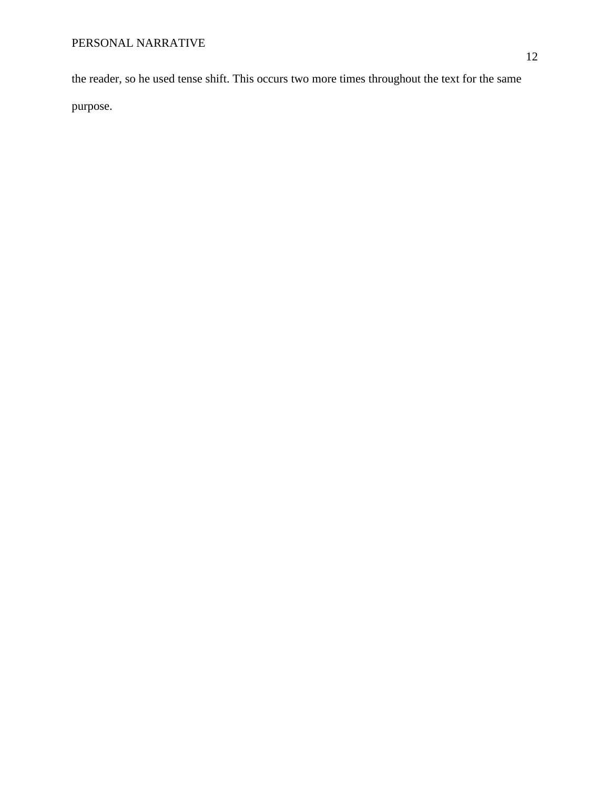the reader, so he used tense shift. This occurs two more times throughout the text for the same purpose.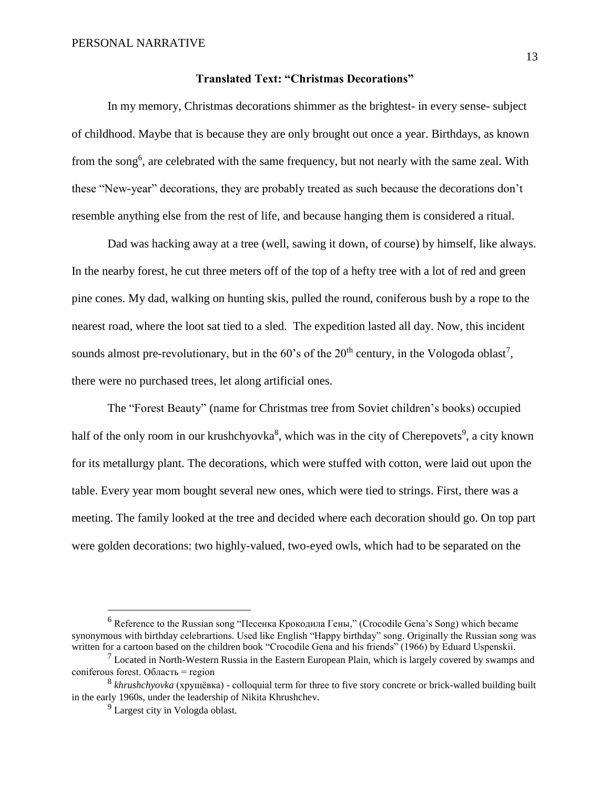# **Translated Text: "Christmas Decorations"**

In my memory, Christmas decorations shimmer as the brightest- in every sense- subject of childhood. Maybe that is because they are only brought out once a year. Birthdays, as known from the song<sup>6</sup>, are celebrated with the same frequency, but not nearly with the same zeal. With these "New-year" decorations, they are probably treated as such because the decorations don't resemble anything else from the rest of life, and because hanging them is considered a ritual.

Dad was hacking away at a tree (well, sawing it down, of course) by himself, like always. In the nearby forest, he cut three meters off of the top of a hefty tree with a lot of red and green pine cones. My dad, walking on hunting skis, pulled the round, coniferous bush by a rope to the nearest road, where the loot sat tied to a sled. The expedition lasted all day. Now, this incident sounds almost pre-revolutionary, but in the  $60$ 's of the  $20<sup>th</sup>$  century, in the Vologoda oblast<sup>7</sup>, there were no purchased trees, let along artificial ones.

The "Forest Beauty" (name for Christmas tree from Soviet children's books) occupied half of the only room in our krushchyovka<sup>8</sup>, which was in the city of Cherepovets<sup>9</sup>, a city known for its metallurgy plant. The decorations, which were stuffed with cotton, were laid out upon the table. Every year mom bought several new ones, which were tied to strings. First, there was a meeting. The family looked at the tree and decided where each decoration should go. On top part were golden decorations: two highly-valued, two-eyed owls, which had to be separated on the

<sup>6</sup> Reference to the Russian song "Песенка Крокодила Гены," (Crocodile Gena's Song) which became synonymous with birthday celebrartions. Used like English "Happy birthday" song. Originally the Russian song was written for a cartoon based on the children book "Crocodile Gena and his friends" (1966) by Eduard Uspenskii.

 $<sup>7</sup>$  Located in North-Western Russia in the Eastern European Plain, which is largely covered by swamps and</sup> coniferous forest. Область = region

<sup>8</sup> *khrushchyovka* (хрущёвка) - сolloquial term for three to five story concrete or brick-walled building built in the early 1960s, under the leadership of Nikita Khrushchev.

<sup>&</sup>lt;sup>9</sup> Largest city in Vologda oblast.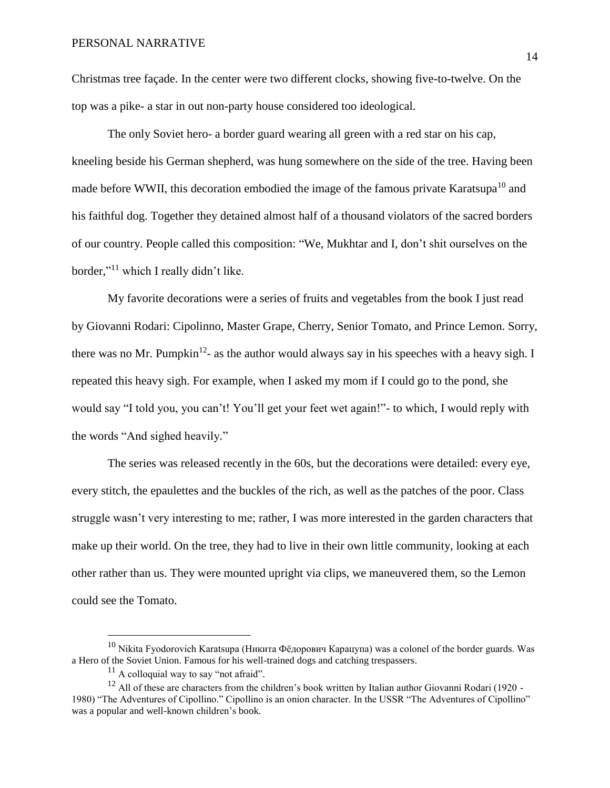Christmas tree façade. In the center were two different clocks, showing five-to-twelve. On the top was a pike- a star in out non-party house considered too ideological.

The only Soviet hero- a border guard wearing all green with a red star on his cap, kneeling beside his German shepherd, was hung somewhere on the side of the tree. Having been made before WWII, this decoration embodied the image of the famous private Karatsupa<sup>10</sup> and his faithful dog. Together they detained almost half of a thousand violators of the sacred borders of our country. People called this composition: "We, Mukhtar and I, don't shit ourselves on the border,"<sup>11</sup> which I really didn't like.

My favorite decorations were a series of fruits and vegetables from the book I just read by Giovanni Rodari: Cipolinno, Master Grape, Cherry, Senior Tomato, and Prince Lemon. Sorry, there was no Mr. Pumpkin<sup>12</sup>- as the author would always say in his speeches with a heavy sigh. I repeated this heavy sigh. For example, when I asked my mom if I could go to the pond, she would say "I told you, you can't! You'll get your feet wet again!"- to which, I would reply with the words "And sighed heavily."

The series was released recently in the 60s, but the decorations were detailed: every eye, every stitch, the epaulettes and the buckles of the rich, as well as the patches of the poor. Class struggle wasn't very interesting to me; rather, I was more interested in the garden characters that make up their world. On the tree, they had to live in their own little community, looking at each other rather than us. They were mounted upright via clips, we maneuvered them, so the Lemon could see the Tomato.

<sup>&</sup>lt;sup>10</sup> Nikita Fyodorovich Karatsupa (Никита Фёдорович Карацупа) was a colonel of the border guards. Was a Hero of the Soviet Union. Famous for his well-trained dogs and catching trespassers.

 $11$  A colloquial way to say "not afraid".

 $12$  All of these are characters from the children's book written by Italian author Giovanni Rodari (1920 -1980) "The Adventures of Cipollino." Cipollino is an onion character. In the USSR "The Adventures of Cipollino" was a popular and well-known children's book.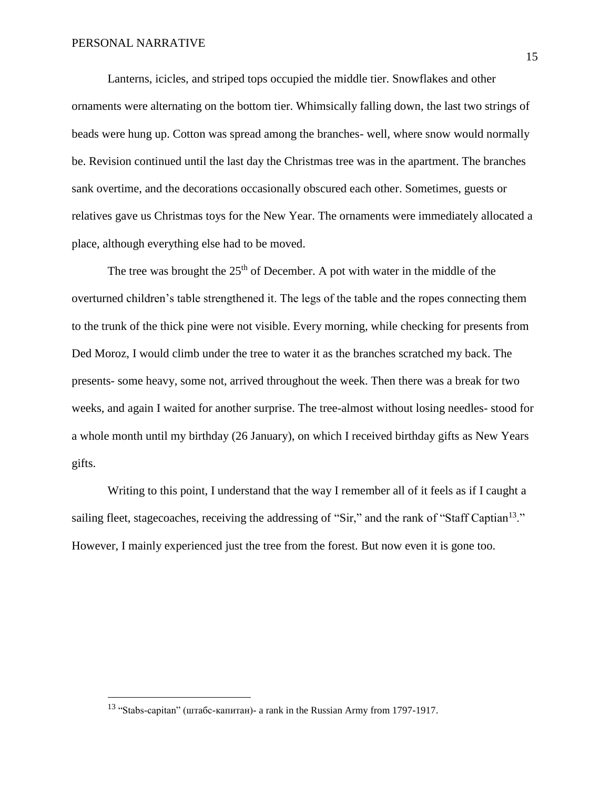$\overline{a}$ 

Lanterns, icicles, and striped tops occupied the middle tier. Snowflakes and other ornaments were alternating on the bottom tier. Whimsically falling down, the last two strings of beads were hung up. Cotton was spread among the branches- well, where snow would normally be. Revision continued until the last day the Christmas tree was in the apartment. The branches sank overtime, and the decorations occasionally obscured each other. Sometimes, guests or relatives gave us Christmas toys for the New Year. The ornaments were immediately allocated a place, although everything else had to be moved.

The tree was brought the  $25<sup>th</sup>$  of December. A pot with water in the middle of the overturned children's table strengthened it. The legs of the table and the ropes connecting them to the trunk of the thick pine were not visible. Every morning, while checking for presents from Ded Moroz, I would climb under the tree to water it as the branches scratched my back. The presents- some heavy, some not, arrived throughout the week. Then there was a break for two weeks, and again I waited for another surprise. The tree-almost without losing needles- stood for a whole month until my birthday (26 January), on which I received birthday gifts as New Years gifts.

Writing to this point, I understand that the way I remember all of it feels as if I caught a sailing fleet, stagecoaches, receiving the addressing of "Sir," and the rank of "Staff Captian<sup>13</sup>." However, I mainly experienced just the tree from the forest. But now even it is gone too.

<sup>13</sup> "Stabs-capitan" (штабс-капитан)- a rank in the Russian Army from 1797-1917.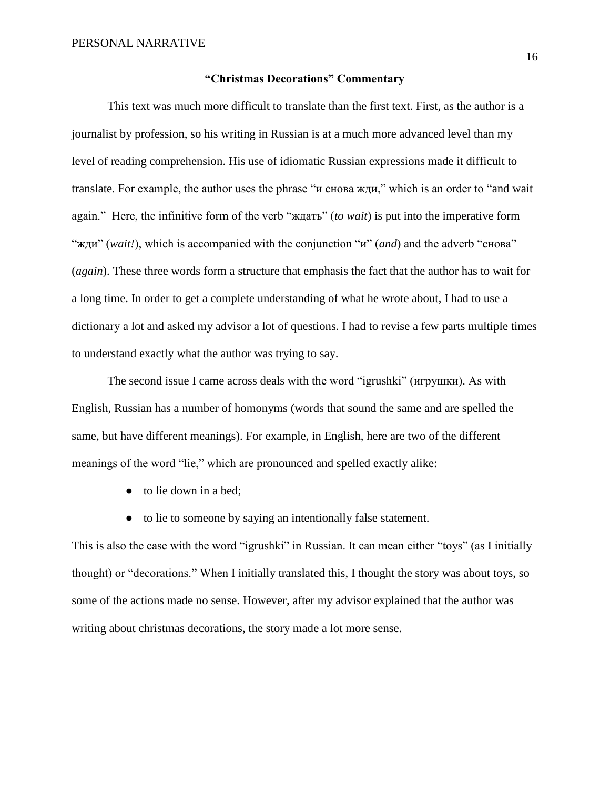### **"Christmas Decorations" Commentary**

This text was much more difficult to translate than the first text. First, as the author is a journalist by profession, so his writing in Russian is at a much more advanced level than my level of reading comprehension. His use of idiomatic Russian expressions made it difficult to translate. For example, the author uses the phrase "и снова жди," which is an order to "and wait again." Here, the infinitive form of the verb "ждать" (*to wait*) is put into the imperative form "жди" (*wait!*), which is accompanied with the conjunction "и" (*and*) and the adverb "снова" (*again*). These three words form a structure that emphasis the fact that the author has to wait for a long time. In order to get a complete understanding of what he wrote about, I had to use a dictionary a lot and asked my advisor a lot of questions. I had to revise a few parts multiple times to understand exactly what the author was trying to say.

The second issue I came across deals with the word "igrushki" (игрушки). As with English, Russian has a number of homonyms (words that sound the same and are spelled the same, but have different meanings). For example, in English, here are two of the different meanings of the word "lie," which are pronounced and spelled exactly alike:

- to lie down in a bed;
- to lie to someone by saying an intentionally false statement.

This is also the case with the word "igrushki" in Russian. It can mean either "toys" (as I initially thought) or "decorations." When I initially translated this, I thought the story was about toys, so some of the actions made no sense. However, after my advisor explained that the author was writing about christmas decorations, the story made a lot more sense.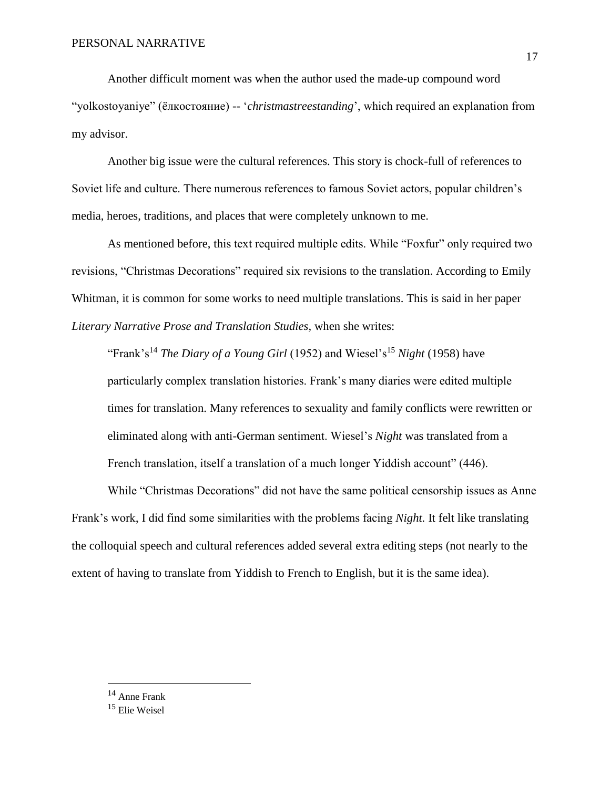Another difficult moment was when the author used the made-up compound word "yolkostoyaniye" (ёлкостояние) -- '*christmastreestanding*', which required an explanation from my advisor.

Another big issue were the cultural references. This story is chock-full of references to Soviet life and culture. There numerous references to famous Soviet actors, popular children's media, heroes, traditions, and places that were completely unknown to me.

As mentioned before, this text required multiple edits. While "Foxfur" only required two revisions, "Christmas Decorations" required six revisions to the translation. According to Emily Whitman, it is common for some works to need multiple translations. This is said in her paper *Literary Narrative Prose and Translation Studies,* when she writes:

"Frank's<sup>14</sup> *The Diary of a Young Girl* (1952) and Wiesel's<sup>15</sup> *Night* (1958) have particularly complex translation histories. Frank's many diaries were edited multiple times for translation. Many references to sexuality and family conflicts were rewritten or eliminated along with anti-German sentiment. Wiesel's *Night* was translated from a French translation, itself a translation of a much longer Yiddish account" (446).

While "Christmas Decorations" did not have the same political censorship issues as Anne Frank's work, I did find some similarities with the problems facing *Night.* It felt like translating the colloquial speech and cultural references added several extra editing steps (not nearly to the extent of having to translate from Yiddish to French to English, but it is the same idea).

<sup>14</sup> Anne Frank

<sup>15</sup> Elie Weisel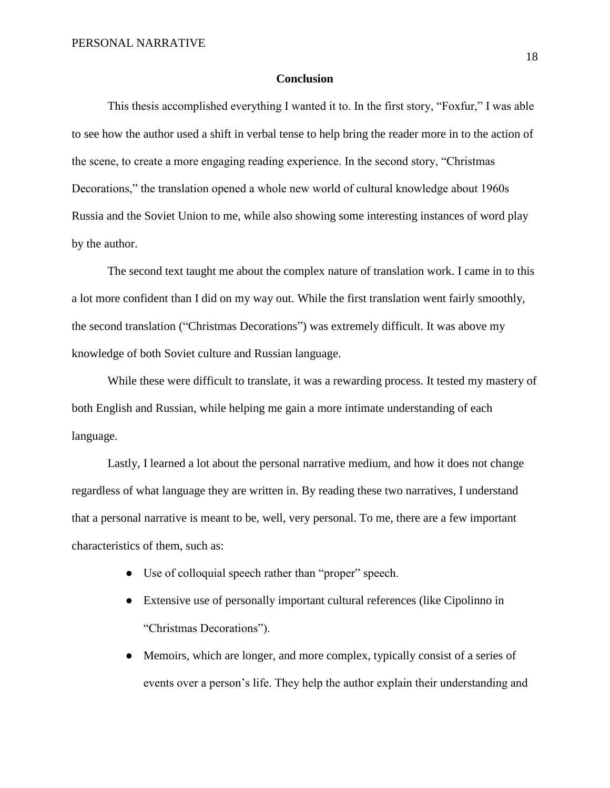### **Conclusion**

This thesis accomplished everything I wanted it to. In the first story, "Foxfur," I was able to see how the author used a shift in verbal tense to help bring the reader more in to the action of the scene, to create a more engaging reading experience. In the second story, "Christmas Decorations," the translation opened a whole new world of cultural knowledge about 1960s Russia and the Soviet Union to me, while also showing some interesting instances of word play by the author.

The second text taught me about the complex nature of translation work. I came in to this a lot more confident than I did on my way out. While the first translation went fairly smoothly, the second translation ("Christmas Decorations") was extremely difficult. It was above my knowledge of both Soviet culture and Russian language.

While these were difficult to translate, it was a rewarding process. It tested my mastery of both English and Russian, while helping me gain a more intimate understanding of each language.

Lastly, I learned a lot about the personal narrative medium, and how it does not change regardless of what language they are written in. By reading these two narratives, I understand that a personal narrative is meant to be, well, very personal. To me, there are a few important characteristics of them, such as:

- Use of colloquial speech rather than "proper" speech.
- Extensive use of personally important cultural references (like Cipolinno in "Christmas Decorations").
- Memoirs, which are longer, and more complex, typically consist of a series of events over a person's life. They help the author explain their understanding and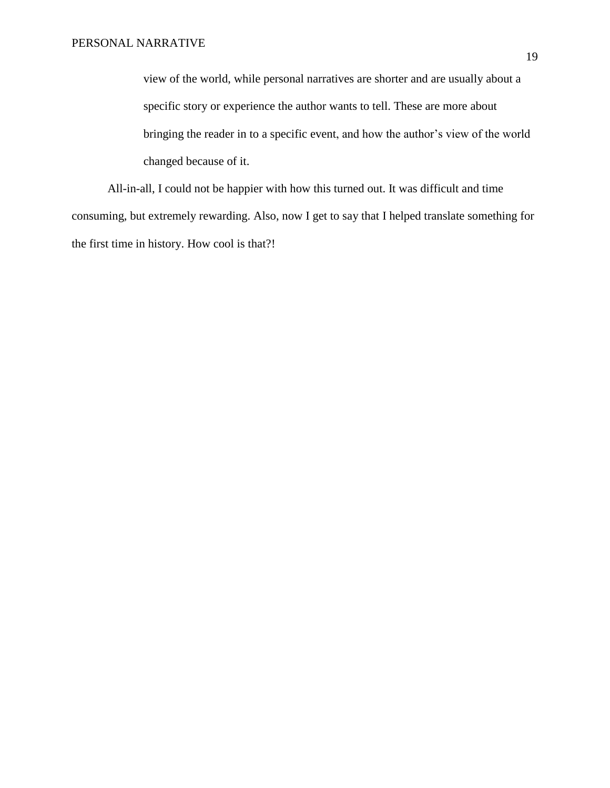view of the world, while personal narratives are shorter and are usually about a specific story or experience the author wants to tell. These are more about bringing the reader in to a specific event, and how the author's view of the world changed because of it.

All-in-all, I could not be happier with how this turned out. It was difficult and time consuming, but extremely rewarding. Also, now I get to say that I helped translate something for the first time in history. How cool is that?!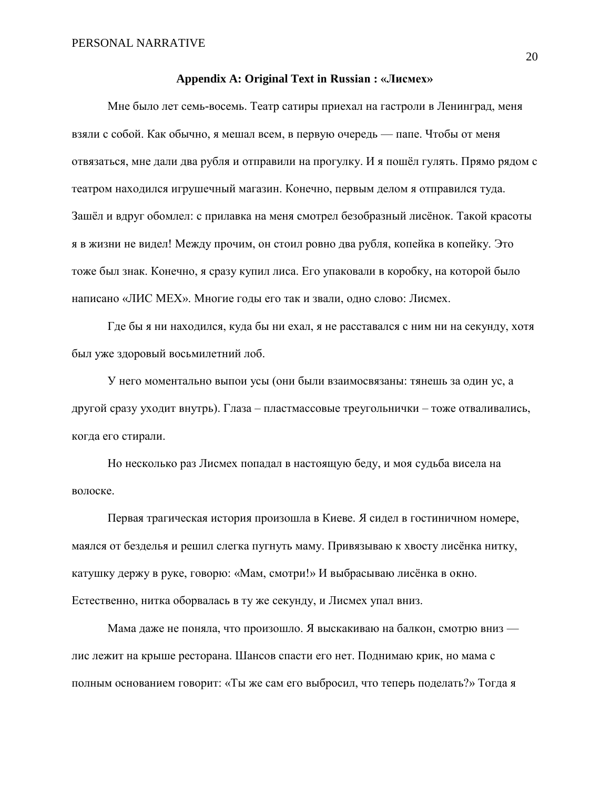#### **Appendix A: Original Text in Russian : «Лисмех»**

Мне было лет семь-восемь. Театр сатиры приехал на гастроли в Ленинград, меня взяли с собой. Как обычно, я мешал всем, в первую очередь — папе. Чтобы от меня отвязаться, мне дали два рубля и отправили на прогулку. И я пошёл гулять. Прямо рядом с театром находился игрушечный магазин. Конечно, первым делом я отправился туда. Зашёл и вдруг обомлел: с прилавка на меня смотрел безобразный лисёнок. Такой красоты я в жизни не видел! Между прочим, он стоил ровно два рубля, копейка в копейку. Это тоже был знак. Конечно, я сразу купил лиса. Его упаковали в коробку, на которой было написано «ЛИС МЕХ». Многие годы его так и звали, одно слово: Лисмех.

Где бы я ни находился, куда бы ни ехал, я не расставался с ним ни на секунду, хотя был уже здоровый восьмилетний лоб.

У него моментально выпои усы (они были взаимосвязаны: тянешь за один ус, а другой сразу уходит внутрь). Глаза – пластмассовые треугольнички – тоже отваливались, когда его стирали.

Но несколько раз Лисмех попадал в настоящую беду, и моя судьба висела на волоске.

Первая трагическая история произошла в Киеве. Я сидел в гостиничном номере, маялся от безделья и решил слегка пугнуть маму. Привязываю к хвосту лисёнка нитку, катушку держу в руке, говорю: «Мам, смотри!» И выбрасываю лисёнка в окно. Естественно, нитка оборвалась в ту же секунду, и Лисмех упал вниз.

Мама даже не поняла, что произошло. Я выскакиваю на балкон, смотрю вниз лис лежит на крыше ресторана. Шансов спасти его нет. Поднимаю крик, но мама с полным основанием говорит: «Ты же сам его выбросил, что теперь поделать?» Тогда я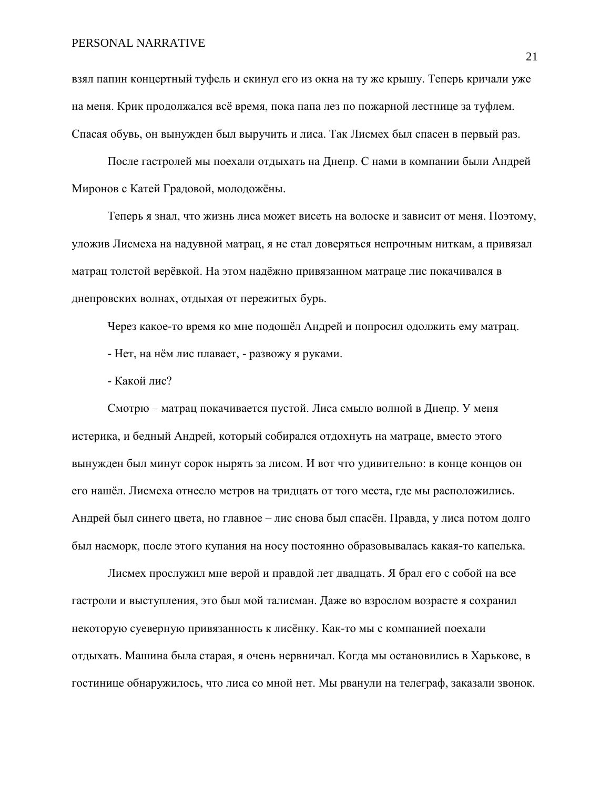взял папин концертный туфель и скинул его из окна на ту же крышу. Теперь кричали уже на меня. Крик продолжался всё время, пока папа лез по пожарной лестнице за туфлем. Спасая обувь, он вынужден был выручить и лиса. Так Лисмех был спасен в первый раз.

После гастролей мы поехали отдыхать на Днепр. С нами в компании были Андрей Миронов с Катей Градовой, молодожёны.

Теперь я знал, что жизнь лиса может висеть на волоске и зависит от меня. Поэтому, уложив Лисмеха на надувной матрац, я не стал доверяться непрочным ниткам, а привязал матрац толстой верёвкой. На этом надёжно привязанном матраце лис покачивался в днепровских волнах, отдыхая от пережитых бурь.

Через какое-то время ко мне подошёл Андрей и попросил одолжить ему матрац.

- Нет, на нём лис плавает, - развожу я руками.

- Какой лис?

Смотрю – матрац покачивается пустой. Лиса смыло волной в Днепр. У меня истерика, и бедный Андрей, который собирался отдохнуть на матраце, вместо этого вынужден был минут сорок нырять за лисом. И вот что удивительно: в конце концов он его нашёл. Лисмеха отнесло метров на тридцать от того места, где мы расположились. Андрей был синего цвета, но главное – лис снова был спасён. Правда, у лиса потом долго был насморк, после этого купания на носу постоянно образовывалась какая-то капелька.

Лисмех прослужил мне верой и правдой лет двадцать. Я брал его с собой на все гастроли и выступления, это был мой талисман. Даже во взрослом возрасте я сохранил некоторую суеверную привязанность к лисёнку. Как-то мы с компанией поехали отдыхать. Машина была старая, я очень нервничал. Когда мы остановились в Харькове, в гостинице обнаружилось, что лиса со мной нет. Мы рванули на телеграф, заказали звонок.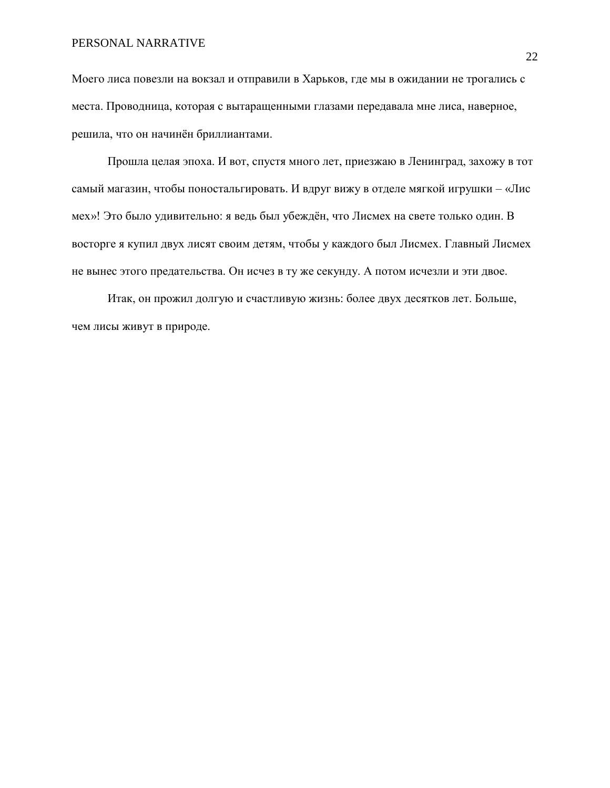Моего лиса повезли на вокзал и отправили в Харьков, где мы в ожидании не трогались с места. Проводница, которая с вытаращенными глазами передавала мне лиса, наверное, решила, что он начинён бриллиантами.

Прошла целая эпоха. И вот, спустя много лет, приезжаю в Ленинград, захожу в тот самый магазин, чтобы поностальгировать. И вдруг вижу в отделе мягкой игрушки – «Лис мех»! Это было удивительно: я ведь был убеждён, что Лисмех на свете только один. В восторге я купил двух лисят своим детям, чтобы у каждого был Лисмех. Главный Лисмех не вынес этого предательства. Он исчез в ту же секунду. А потом исчезли и эти двое.

Итак, он прожил долгую и счастливую жизнь: более двух десятков лет. Больше, чем лисы живут в природе.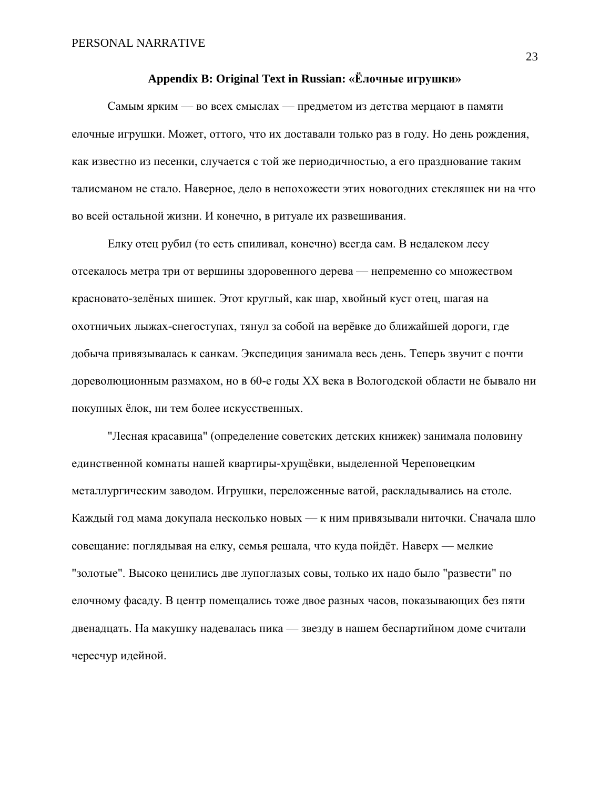# **Appendix B: Original Text in Russian: «Ёлочные игрушки»**

Самым ярким — во всех смыслах — предметом из детства мерцают в памяти елочные игрушки. Может, оттого, что их доставали только раз в году. Но день рождения, как известно из песенки, случается с той же периодичностью, а его празднование таким талисманом не стало. Наверное, дело в непохожести этих новогодних стекляшек ни на что во всей остальной жизни. И конечно, в ритуале их развешивания.

Елку отец рубил (то есть спиливал, конечно) всегда сам. В недалеком лесу отсекалось метра три от вершины здоровенного дерева — непременно со множеством красновато-зелёных шишек. Этот круглый, как шар, хвойный куст отец, шагая на охотничьих лыжах-снегоступах, тянул за собой на верёвке до ближайшей дороги, где добыча привязывалась к санкам. Экспедиция занимала весь день. Теперь звучит с почти дореволюционным размахом, но в 60-е годы ХХ века в Вологодской области не бывало ни покупных ёлок, ни тем более искусственных.

"Лесная красавица" (определение советских детских книжек) занимала половину единственной комнаты нашей квартиры-хрущёвки, выделенной Череповецким металлургическим заводом. Игрушки, переложенные ватой, раскладывались на столе. Каждый год мама докупала несколько новых — к ним привязывали ниточки. Сначала шло совещание: поглядывая на елку, семья решала, что куда пойдёт. Наверх — мелкие "золотые". Высоко ценились две лупоглазых совы, только их надо было "развести" по елочному фасаду. В центр помещались тоже двое разных часов, показывающих без пяти двенадцать. На макушку надевалась пика — звезду в нашем беспартийном доме считали чересчур идейной.

23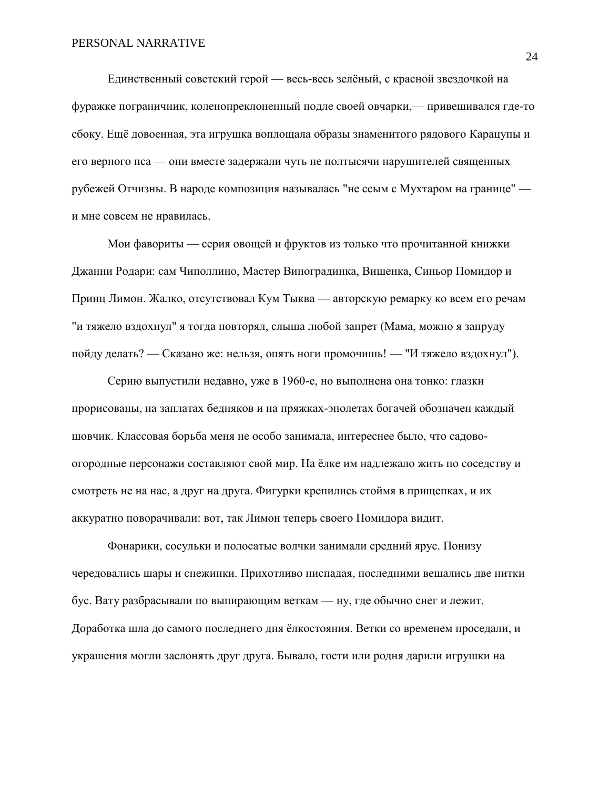Единственный советский герой — весь-весь зелёный, с красной звездочкой на фуражке пограничник, коленопреклоненный подле своей овчарки,— привешивался где-то сбоку. Ещё довоенная, эта игрушка воплощала образы знаменитого рядового Карацупы и его верного пса — они вместе задержали чуть не полтысячи нарушителей священных рубежей Отчизны. В народе композиция называлась "не ссым с Мухтаром на границе" и мне совсем не нравилась.

Мои фавориты — серия овощей и фруктов из только что прочитанной книжки Джанни Родари: сам Чиполлино, Мастер Виноградинка, Вишенка, Синьор Помидор и Принц Лимон. Жалко, отсутствовал Кум Тыква — авторскую ремарку ко всем его речам "и тяжело вздохнул" я тогда повторял, слыша любой запрет (Мама, можно я запруду пойду делать? — Сказано же: нельзя, опять ноги промочишь! — "И тяжело вздохнул").

Серию выпустили недавно, уже в 1960-е, но выполнена она тонко: глазки прорисованы, на заплатах бедняков и на пряжках-эполетах богачей обозначен каждый шовчик. Классовая борьба меня не особо занимала, интереснее было, что садовоогородные персонажи составляют свой мир. На ёлке им надлежало жить по соседству и смотреть не на нас, а друг на друга. Фигурки крепились стоймя в прищепках, и их аккуратно поворачивали: вот, так Лимон теперь своего Помидора видит.

Фонарики, сосульки и полосатые волчки занимали средний ярус. Понизу чередовались шары и снежинки. Прихотливо ниспадая, последними вешались две нитки бус. Вату разбрасывали по выпирающим веткам — ну, где обычно снег и лежит. Доработка шла до самого последнего дня ёлкостояния. Ветки со временем проседали, и украшения могли заслонять друг друга. Бывало, гости или родня дарили игрушки на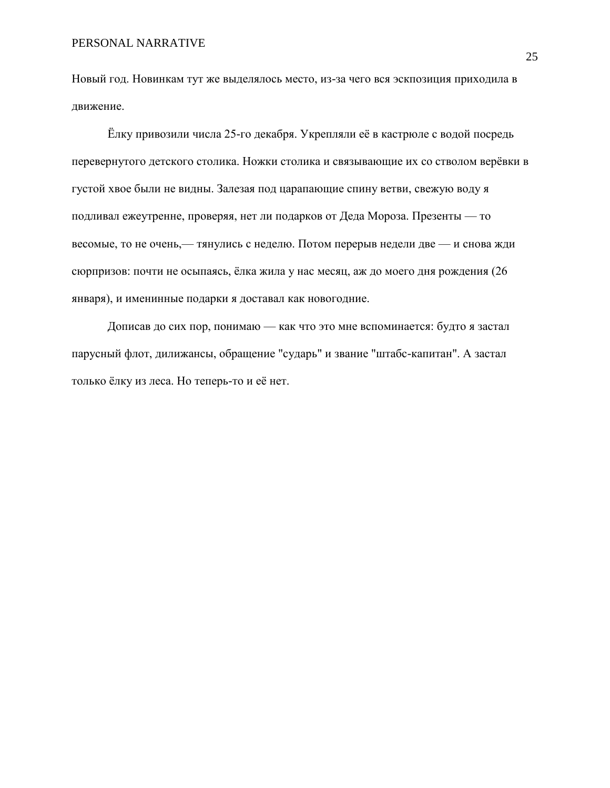Новый год. Новинкам тут же выделялось место, из-за чего вся эскпозиция приходила в движение.

Ёлку привозили числа 25-го декабря. Укрепляли её в кастрюле с водой посредь перевернутого детского столика. Ножки столика и связывающие их со стволом верёвки в густой хвое были не видны. Залезая под царапающие спину ветви, свежую воду я подливал ежеутренне, проверяя, нет ли подарков от Деда Мороза. Презенты — то весомые, то не очень,— тянулись с неделю. Потом перерыв недели две — и снова жди сюрпризов: почти не осыпаясь, ёлка жила у нас месяц, аж до моего дня рождения (26 января), и именинные подарки я доставал как новогодние.

Дописав до сих пор, понимаю — как что это мне вспоминается: будто я застал парусный флот, дилижансы, обращение "сударь" и звание "штабс-капитан". А застал только ёлку из леса. Но теперь-то и её нет.